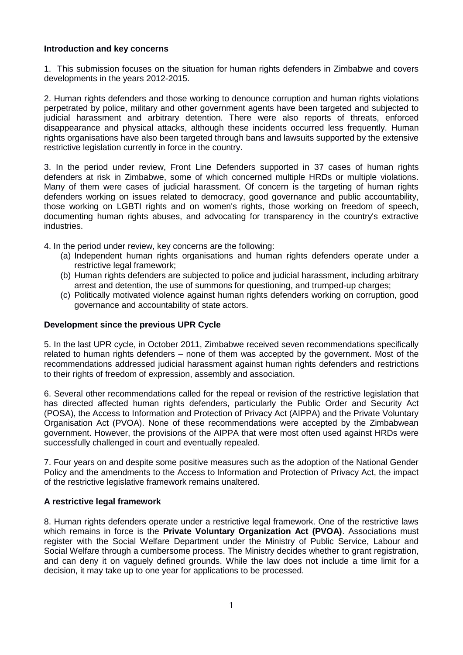#### **Introduction and key concerns**

1. This submission focuses on the situation for human rights defenders in Zimbabwe and covers developments in the years 2012-2015.

2. Human rights defenders and those working to denounce corruption and human rights violations perpetrated by police, military and other government agents have been targeted and subjected to judicial harassment and arbitrary detention. There were also reports of threats, enforced disappearance and physical attacks, although these incidents occurred less frequently. Human rights organisations have also been targeted through bans and lawsuits supported by the extensive restrictive legislation currently in force in the country.

3. In the period under review, Front Line Defenders supported in 37 cases of human rights defenders at risk in Zimbabwe, some of which concerned multiple HRDs or multiple violations. Many of them were cases of judicial harassment. Of concern is the targeting of human rights defenders working on issues related to democracy, good governance and public accountability, those working on LGBTI rights and on women's rights, those working on freedom of speech, documenting human rights abuses, and advocating for transparency in the country's extractive industries.

4. In the period under review, key concerns are the following:

- (a) Independent human rights organisations and human rights defenders operate under a restrictive legal framework;
- (b) Human rights defenders are subjected to police and judicial harassment, including arbitrary arrest and detention, the use of summons for questioning, and trumped-up charges;
- (c) Politically motivated violence against human rights defenders working on corruption, good governance and accountability of state actors.

#### **Development since the previous UPR Cycle**

5. In the last UPR cycle, in October 2011, Zimbabwe received seven recommendations specifically related to human rights defenders – none of them was accepted by the government. Most of the recommendations addressed judicial harassment against human rights defenders and restrictions to their rights of freedom of expression, assembly and association.

6. Several other recommendations called for the repeal or revision of the restrictive legislation that has directed affected human rights defenders, particularly the Public Order and Security Act (POSA), the Access to Information and Protection of Privacy Act (AIPPA) and the Private Voluntary Organisation Act (PVOA). None of these recommendations were accepted by the Zimbabwean government. However, the provisions of the AIPPA that were most often used against HRDs were successfully challenged in court and eventually repealed.

7. Four years on and despite some positive measures such as the adoption of the National Gender Policy and the amendments to the Access to Information and Protection of Privacy Act, the impact of the restrictive legislative framework remains unaltered.

## **A restrictive legal framework**

8. Human rights defenders operate under a restrictive legal framework. One of the restrictive laws which remains in force is the **Private Voluntary Organization Act (PVOA)**. Associations must register with the Social Welfare Department under the Ministry of Public Service, Labour and Social Welfare through a cumbersome process. The Ministry decides whether to grant registration, and can deny it on vaguely defined grounds. While the law does not include a time limit for a decision, it may take up to one year for applications to be processed.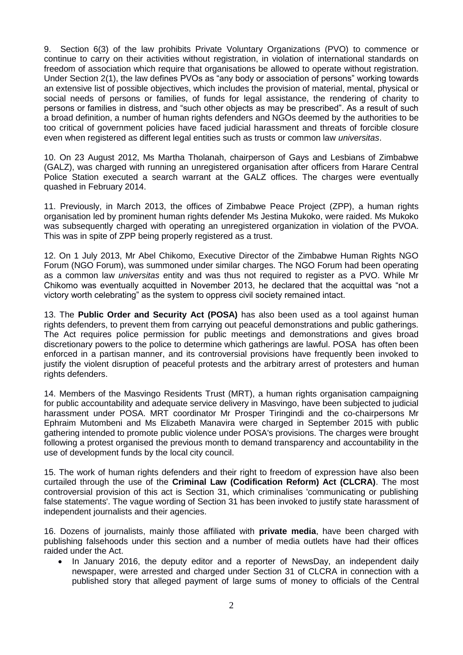9. Section 6(3) of the law prohibits Private Voluntary Organizations (PVO) to commence or continue to carry on their activities without registration, in violation of international standards on freedom of association which require that organisations be allowed to operate without registration. Under Section 2(1), the law defines PVOs as "any body or association of persons" working towards an extensive list of possible objectives, which includes the provision of material, mental, physical or social needs of persons or families, of funds for legal assistance, the rendering of charity to persons or families in distress, and "such other objects as may be prescribed". As a result of such a broad definition, a number of human rights defenders and NGOs deemed by the authorities to be too critical of government policies have faced judicial harassment and threats of forcible closure even when registered as different legal entities such as trusts or common law *universitas*.

10. On 23 August 2012, Ms Martha Tholanah, chairperson of Gays and Lesbians of Zimbabwe (GALZ), was charged with running an unregistered organisation after officers from Harare Central Police Station executed a search warrant at the GALZ offices. The charges were eventually quashed in February 2014.

11. Previously, in March 2013, the offices of Zimbabwe Peace Project (ZPP), a human rights organisation led by prominent human rights defender Ms Jestina Mukoko, were raided. Ms Mukoko was subsequently charged with operating an unregistered organization in violation of the PVOA. This was in spite of ZPP being properly registered as a trust.

12. On 1 July 2013, Mr Abel Chikomo, Executive Director of the Zimbabwe Human Rights NGO Forum (NGO Forum), was summoned under similar charges. The NGO Forum had been operating as a common law *universitas* entity and was thus not required to register as a PVO. While Mr Chikomo was eventually acquitted in November 2013, he declared that the acquittal was "not a victory worth celebrating" as the system to oppress civil society remained intact.

13. The **Public Order and Security Act (POSA)** has also been used as a tool against human rights defenders, to prevent them from carrying out peaceful demonstrations and public gatherings. The Act requires police permission for public meetings and demonstrations and gives broad discretionary powers to the police to determine which gatherings are lawful. POSA has often been enforced in a partisan manner, and its controversial provisions have frequently been invoked to justify the violent disruption of peaceful protests and the arbitrary arrest of protesters and human rights defenders.

14. Members of the Masvingo Residents Trust (MRT), a human rights organisation campaigning for public accountability and adequate service delivery in Masvingo, have been subjected to judicial harassment under POSA. MRT coordinator Mr Prosper Tiringindi and the co-chairpersons Mr Ephraim Mutombeni and Ms Elizabeth Manavira were charged in September 2015 with public gathering intended to promote public violence under POSA's provisions. The charges were brought following a protest organised the previous month to demand transparency and accountability in the use of development funds by the local city council.

15. The work of human rights defenders and their right to freedom of expression have also been curtailed through the use of the **Criminal Law (Codification Reform) Act (CLCRA)**. The most controversial provision of this act is Section 31, which criminalises 'communicating or publishing false statements'. The vague wording of Section 31 has been invoked to justify state harassment of independent journalists and their agencies.

16. Dozens of journalists, mainly those affiliated with **private media**, have been charged with publishing falsehoods under this section and a number of media outlets have had their offices raided under the Act.

• In January 2016, the deputy editor and a reporter of NewsDay, an independent daily newspaper, were arrested and charged under Section 31 of CLCRA in connection with a published story that alleged payment of large sums of money to officials of the Central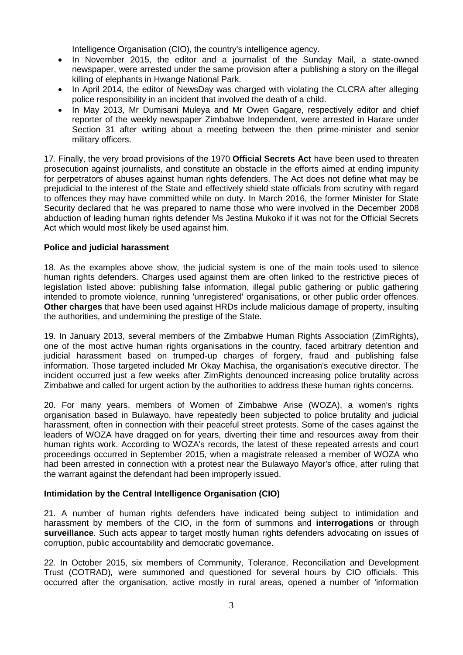Intelligence Organisation (CIO), the country's intelligence agency.

- In November 2015, the editor and a journalist of the Sunday Mail, a state-owned newspaper, were arrested under the same provision after a publishing a story on the illegal killing of elephants in Hwange National Park.
- In April 2014, the editor of NewsDay was charged with violating the CLCRA after alleging police responsibility in an incident that involved the death of a child.
- In May 2013, Mr Dumisani Muleya and Mr Owen Gagare, respectively editor and chief reporter of the weekly newspaper Zimbabwe Independent, were arrested in Harare under Section 31 after writing about a meeting between the then prime-minister and senior military officers.

17. Finally, the very broad provisions of the 1970 **Official Secrets Act** have been used to threaten prosecution against journalists, and constitute an obstacle in the efforts aimed at ending impunity for perpetrators of abuses against human rights defenders. The Act does not define what may be prejudicial to the interest of the State and effectively shield state officials from scrutiny with regard to offences they may have committed while on duty. In March 2016, the former Minister for State Security declared that he was prepared to name those who were involved in the December 2008 abduction of leading human rights defender Ms Jestina Mukoko if it was not for the Official Secrets Act which would most likely be used against him.

#### **Police and judicial harassment**

18. As the examples above show, the judicial system is one of the main tools used to silence human rights defenders. Charges used against them are often linked to the restrictive pieces of legislation listed above: publishing false information, illegal public gathering or public gathering intended to promote violence, running 'unregistered' organisations, or other public order offences. **Other charges** that have been used against HRDs include malicious damage of property, insulting the authorities, and undermining the prestige of the State.

19. In January 2013, several members of the Zimbabwe Human Rights Association (ZimRights), one of the most active human rights organisations in the country, faced arbitrary detention and judicial harassment based on trumped-up charges of forgery, fraud and publishing false information. Those targeted included Mr Okay Machisa, the organisation's executive director. The incident occurred just a few weeks after ZimRights denounced increasing police brutality across Zimbabwe and called for urgent action by the authorities to address these human rights concerns.

20. For many years, members of Women of Zimbabwe Arise (WOZA), a women's rights organisation based in Bulawayo, have repeatedly been subjected to police brutality and judicial harassment, often in connection with their peaceful street protests. Some of the cases against the leaders of WOZA have dragged on for years, diverting their time and resources away from their human rights work. According to WOZA's records, the latest of these repeated arrests and court proceedings occurred in September 2015, when a magistrate released a member of WOZA who had been arrested in connection with a protest near the Bulawayo Mayor's office, after ruling that the warrant against the defendant had been improperly issued.

## **Intimidation by the Central Intelligence Organisation (CIO)**

21. A number of human rights defenders have indicated being subject to intimidation and harassment by members of the CIO, in the form of summons and **interrogations** or through **surveillance**. Such acts appear to target mostly human rights defenders advocating on issues of corruption, public accountability and democratic governance.

22. In October 2015, six members of Community, Tolerance, Reconciliation and Development Trust (COTRAD)*,* were summoned and questioned for several hours by CIO officials. This occurred after the organisation, active mostly in rural areas, opened a number of 'information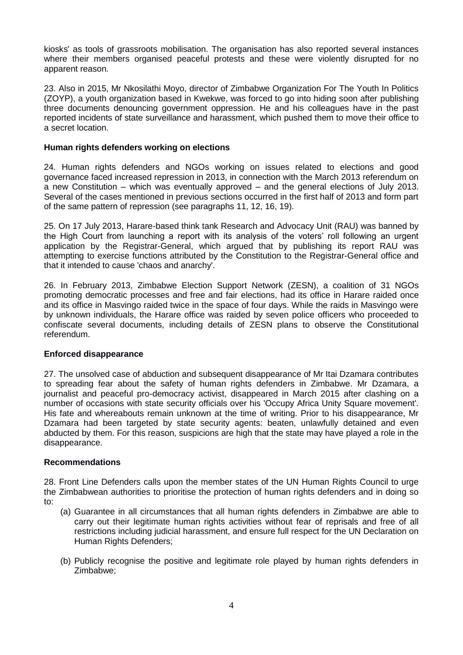kiosks' as tools of grassroots mobilisation. The organisation has also reported several instances where their members organised peaceful protests and these were violently disrupted for no apparent reason.

23. Also in 2015, Mr Nkosilathi Moyo, director of Zimbabwe Organization For The Youth In Politics (ZOYP), a youth organization based in Kwekwe, was forced to go into hiding soon after publishing three documents denouncing government oppression. He and his colleagues have in the past reported incidents of state surveillance and harassment, which pushed them to move their office to a secret location.

## **Human rights defenders working on elections**

24. Human rights defenders and NGOs working on issues related to elections and good governance faced increased repression in 2013, in connection with the March 2013 referendum on a new Constitution – which was eventually approved – and the general elections of July 2013. Several of the cases mentioned in previous sections occurred in the first half of 2013 and form part of the same pattern of repression (see paragraphs 11, 12, 16, 19).

25. On 17 July 2013, Harare-based think tank Research and Advocacy Unit (RAU) was banned by the High Court from launching a report with its analysis of the voters' roll following an urgent application by the Registrar-General, which argued that by publishing its report RAU was attempting to exercise functions attributed by the Constitution to the Registrar-General office and that it intended to cause 'chaos and anarchy'.

26. In February 2013, Zimbabwe Election Support Network (ZESN), a coalition of 31 NGOs promoting democratic processes and free and fair elections, had its office in Harare raided once and its office in Masvingo raided twice in the space of four days. While the raids in Masvingo were by unknown individuals, the Harare office was raided by seven police officers who proceeded to confiscate several documents, including details of ZESN plans to observe the Constitutional referendum.

# **Enforced disappearance**

27. The unsolved case of abduction and subsequent disappearance of Mr Itai Dzamara contributes to spreading fear about the safety of human rights defenders in Zimbabwe. Mr Dzamara, a journalist and peaceful pro-democracy activist, disappeared in March 2015 after clashing on a number of occasions with state security officials over his 'Occupy Africa Unity Square movement'. His fate and whereabouts remain unknown at the time of writing. Prior to his disappearance, Mr Dzamara had been targeted by state security agents: beaten, unlawfully detained and even abducted by them. For this reason, suspicions are high that the state may have played a role in the disappearance.

## **Recommendations**

28. Front Line Defenders calls upon the member states of the UN Human Rights Council to urge the Zimbabwean authorities to prioritise the protection of human rights defenders and in doing so to:

- (a) Guarantee in all circumstances that all human rights defenders in Zimbabwe are able to carry out their legitimate human rights activities without fear of reprisals and free of all restrictions including judicial harassment, and ensure full respect for the UN Declaration on Human Rights Defenders;
- (b) Publicly recognise the positive and legitimate role played by human rights defenders in Zimbabwe;